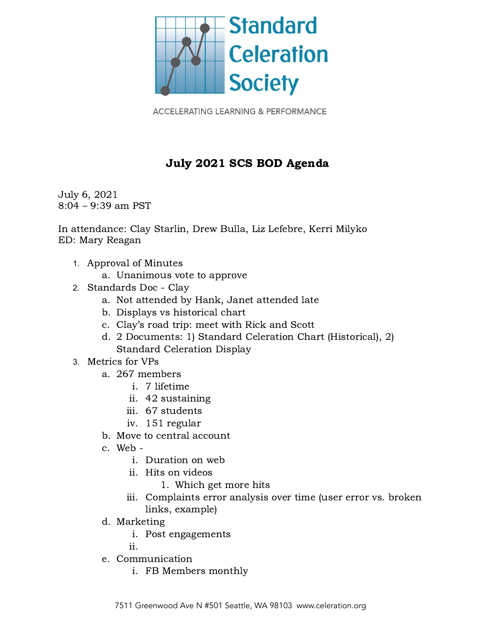

**ACCELERATING LEARNING & PERFORMANCE** 

## July 2021 SCS BOD Agenda

July 6, 2021 8:04 – 9:39 am PST

In attendance: Clay Starlin, Drew Bulla, Liz Lefebre, Kerri Milyko ED: Mary Reagan

- 1. Approval of Minutes
	- a. Unanimous vote to approve
- 2. Standards Doc Clay
	- a. Not attended by Hank, Janet attended late
	- b. Displays vs historical chart
	- c. Clay's road trip: meet with Rick and Scott
	- d. 2 Documents: 1) Standard Celeration Chart (Historical), 2) Standard Celeration Display
- 3. Metrics for VPs
	- a. 267 members
		- i. 7 lifetime
		- ii. 42 sustaining
		- iii. 67 students
		- iv. 151 regular
	- b. Move to central account
	- c. Web
		- i. Duration on web
		- ii. Hits on videos
			- 1. Which get more hits
		- iii. Complaints error analysis over time (user error vs. broken links, example)
	- d. Marketing
		- i. Post engagements

ii.

- e. Communication
	- i. FB Members monthly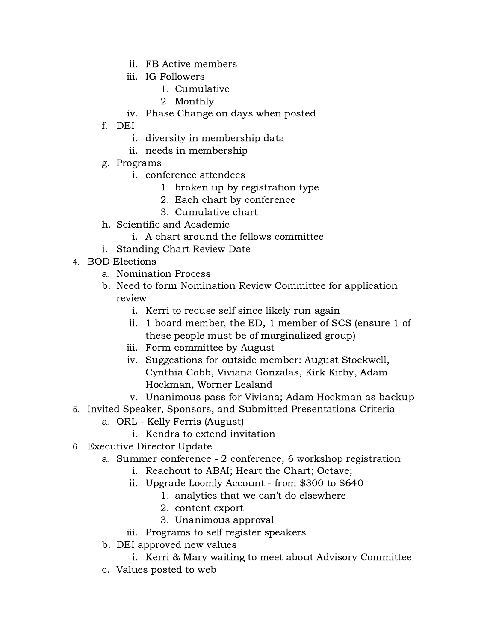- ii. FB Active members
- iii. IG Followers
	- 1. Cumulative
	- 2. Monthly
- iv. Phase Change on days when posted
- f. DEI
	- i. diversity in membership data
	- ii. needs in membership
- g. Programs
	- i. conference attendees
		- 1. broken up by registration type
		- 2. Each chart by conference
		- 3. Cumulative chart
- h. Scientific and Academic
	- i. A chart around the fellows committee
- i. Standing Chart Review Date
- 4. BOD Elections
	- a. Nomination Process
	- b. Need to form Nomination Review Committee for application review
		- i. Kerri to recuse self since likely run again
		- ii. 1 board member, the ED, 1 member of SCS (ensure 1 of these people must be of marginalized group)
		- iii. Form committee by August
		- iv. Suggestions for outside member: August Stockwell, Cynthia Cobb, Viviana Gonzalas, Kirk Kirby, Adam Hockman, Worner Lealand
		- v. Unanimous pass for Viviana; Adam Hockman as backup
- 5. Invited Speaker, Sponsors, and Submitted Presentations Criteria
	- a. ORL Kelly Ferris (August)
		- i. Kendra to extend invitation
- 6. Executive Director Update
	- a. Summer conference 2 conference, 6 workshop registration
		- i. Reachout to ABAI; Heart the Chart; Octave;
		- ii. Upgrade Loomly Account from \$300 to \$640
			- 1. analytics that we can't do elsewhere
			- 2. content export
			- 3. Unanimous approval
		- iii. Programs to self register speakers
	- b. DEI approved new values
		- i. Kerri & Mary waiting to meet about Advisory Committee
	- c. Values posted to web